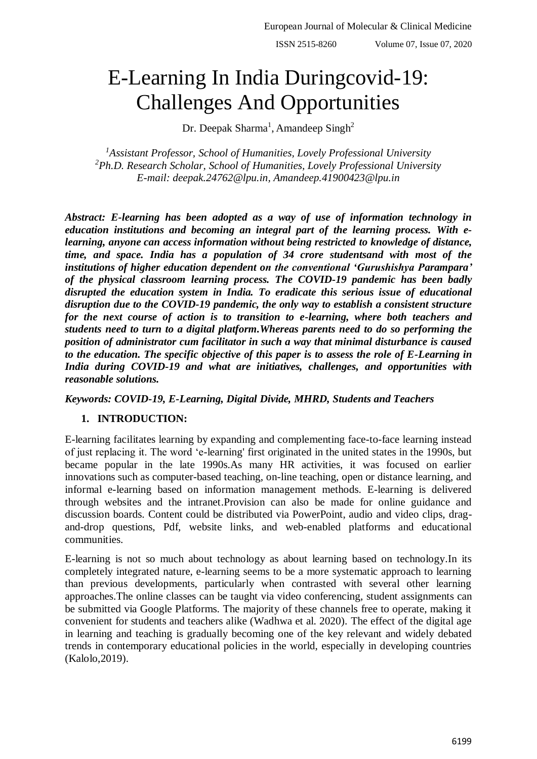# E-Learning In India Duringcovid-19: Challenges And Opportunities

Dr. Deepak Sharma<sup>1</sup>, Amandeep Singh<sup>2</sup>

*<sup>1</sup>Assistant Professor, School of Humanities, Lovely Professional University <sup>2</sup>Ph.D. Research Scholar, School of Humanities, Lovely Professional University E-mail: [deepak.24762@lpu.in,](mailto:deepak.24762@lpu.in) [Amandeep.41900423@lpu.in](mailto:Amandeep.41900423@lpu.in)*

*Abstract: E-learning has been adopted as a way of use of information technology in education institutions and becoming an integral part of the learning process. With elearning, anyone can access information without being restricted to knowledge of distance, time, and space. India has a population of 34 crore studentsand with most of the institutions of higher education dependent on the conventional 'Gurushishya Parampara' of the physical classroom learning process. The COVID-19 pandemic has been badly disrupted the education system in India. To eradicate this serious issue of educational disruption due to the COVID-19 pandemic, the only way to establish a consistent structure for the next course of action is to transition to e-learning, where both teachers and students need to turn to a digital platform.Whereas parents need to do so performing the position of administrator cum facilitator in such a way that minimal disturbance is caused to the education. The specific objective of this paper is to assess the role of E-Learning in India during COVID-19 and what are initiatives, challenges, and opportunities with reasonable solutions.* 

## *Keywords: COVID-19, E-Learning, Digital Divide, MHRD, Students and Teachers*

## **1. INTRODUCTION:**

E-learning facilitates learning by expanding and complementing face-to-face learning instead of just replacing it. The word 'e-learning' first originated in the united states in the 1990s, but became popular in the late 1990s.As many HR activities, it was focused on earlier innovations such as computer-based teaching, on-line teaching, open or distance learning, and informal e-learning based on information management methods. E-learning is delivered through websites and the intranet.Provision can also be made for online guidance and discussion boards. Content could be distributed via PowerPoint, audio and video clips, dragand-drop questions, Pdf, website links, and web-enabled platforms and educational communities.

E-learning is not so much about technology as about learning based on technology.In its completely integrated nature, e-learning seems to be a more systematic approach to learning than previous developments, particularly when contrasted with several other learning approaches.The online classes can be taught via video conferencing, student assignments can be submitted via Google Platforms. The majority of these channels free to operate, making it convenient for students and teachers alike (Wadhwa et al. 2020). The effect of the digital age in learning and teaching is gradually becoming one of the key relevant and widely debated trends in contemporary educational policies in the world, especially in developing countries (Kalolo,2019).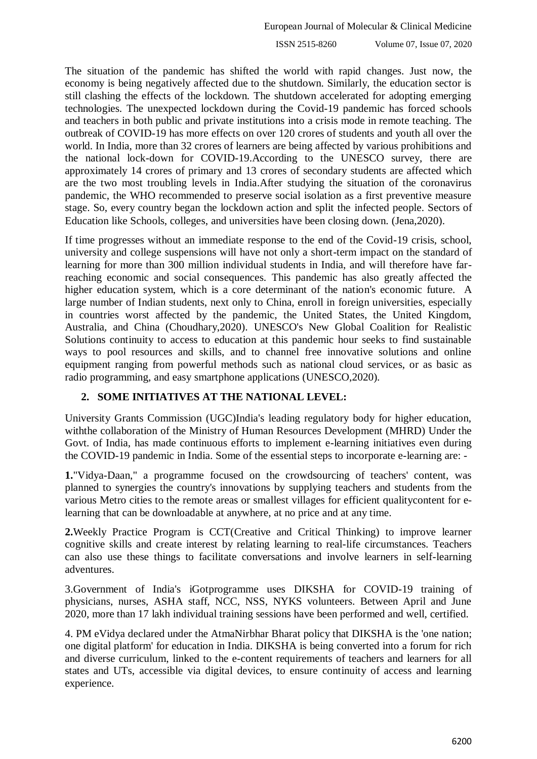The situation of the pandemic has shifted the world with rapid changes. Just now, the economy is being negatively affected due to the shutdown. Similarly, the education sector is still clashing the effects of the lockdown. The shutdown accelerated for adopting emerging technologies. The unexpected lockdown during the Covid-19 pandemic has forced schools and teachers in both public and private institutions into a crisis mode in remote teaching. The outbreak of COVID-19 has more effects on over 120 crores of students and youth all over the world. In India, more than 32 crores of learners are being affected by various prohibitions and the national lock-down for COVID-19.According to the UNESCO survey, there are approximately 14 crores of primary and 13 crores of secondary students are affected which are the two most troubling levels in India.After studying the situation of the coronavirus pandemic, the WHO recommended to preserve social isolation as a first preventive measure stage. So, every country began the lockdown action and split the infected people. Sectors of Education like Schools, colleges, and universities have been closing down. (Jena,2020).

If time progresses without an immediate response to the end of the Covid-19 crisis, school, university and college suspensions will have not only a short-term impact on the standard of learning for more than 300 million individual students in India, and will therefore have farreaching economic and social consequences. This pandemic has also greatly affected the higher education system, which is a core determinant of the nation's economic future. A large number of Indian students, next only to China, enroll in foreign universities, especially in countries worst affected by the pandemic, the United States, the United Kingdom, Australia, and China (Choudhary,2020). UNESCO's New Global Coalition for Realistic Solutions continuity to access to education at this pandemic hour seeks to find sustainable ways to pool resources and skills, and to channel free innovative solutions and online equipment ranging from powerful methods such as national cloud services, or as basic as radio programming, and easy smartphone applications (UNESCO,2020).

# **2. SOME INITIATIVES AT THE NATIONAL LEVEL:**

University Grants Commission (UGC)India's leading regulatory body for higher education, withthe collaboration of the Ministry of Human Resources Development (MHRD) Under the Govt. of India, has made continuous efforts to implement e-learning initiatives even during the COVID-19 pandemic in India. Some of the essential steps to incorporate e-learning are: -

**1.**"Vidya-Daan," a programme focused on the crowdsourcing of teachers' content, was planned to synergies the country's innovations by supplying teachers and students from the various Metro cities to the remote areas or smallest villages for efficient qualitycontent for elearning that can be downloadable at anywhere, at no price and at any time.

**2.**Weekly Practice Program is CCT(Creative and Critical Thinking) to improve learner cognitive skills and create interest by relating learning to real-life circumstances. Teachers can also use these things to facilitate conversations and involve learners in self-learning adventures.

3.Government of India's iGotprogramme uses DIKSHA for COVID-19 training of physicians, nurses, ASHA staff, NCC, NSS, NYKS volunteers. Between April and June 2020, more than 17 lakh individual training sessions have been performed and well, certified.

4. PM eVidya declared under the AtmaNirbhar Bharat policy that DIKSHA is the 'one nation; one digital platform' for education in India. DIKSHA is being converted into a forum for rich and diverse curriculum, linked to the e-content requirements of teachers and learners for all states and UTs, accessible via digital devices, to ensure continuity of access and learning experience.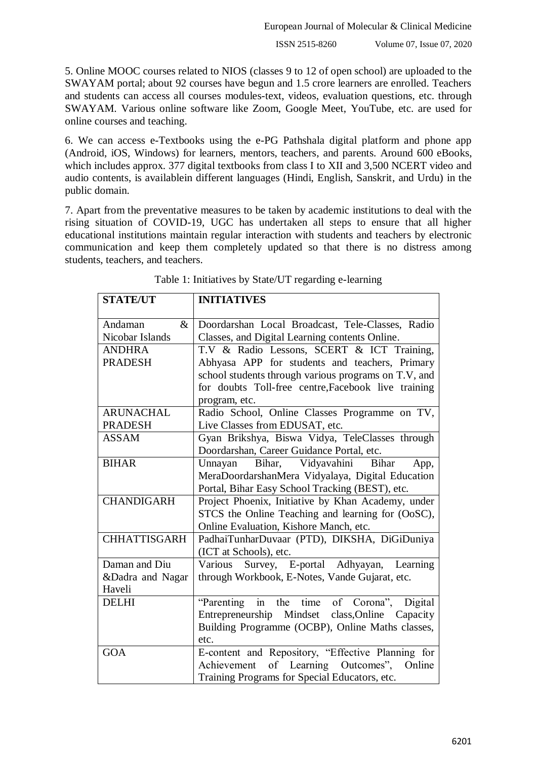5. Online MOOC courses related to NIOS (classes 9 to 12 of open school) are uploaded to the SWAYAM portal; about 92 courses have begun and 1.5 crore learners are enrolled. Teachers and students can access all courses modules-text, videos, evaluation questions, etc. through SWAYAM. Various online software like Zoom, Google Meet, YouTube, etc. are used for online courses and teaching.

6. We can access e-Textbooks using the e-PG Pathshala digital platform and phone app (Android, iOS, Windows) for learners, mentors, teachers, and parents. Around 600 eBooks, which includes approx. 377 digital textbooks from class I to XII and 3,500 NCERT video and audio contents, is availablein different languages (Hindi, English, Sanskrit, and Urdu) in the public domain.

7. Apart from the preventative measures to be taken by academic institutions to deal with the rising situation of COVID-19, UGC has undertaken all steps to ensure that all higher educational institutions maintain regular interaction with students and teachers by electronic communication and keep them completely updated so that there is no distress among students, teachers, and teachers.

| <b>STATE/UT</b>     | <b>INITIATIVES</b>                                   |
|---------------------|------------------------------------------------------|
|                     |                                                      |
| Andaman<br>$\&$     | Doordarshan Local Broadcast, Tele-Classes, Radio     |
| Nicobar Islands     | Classes, and Digital Learning contents Online.       |
| <b>ANDHRA</b>       | T.V & Radio Lessons, SCERT & ICT Training,           |
| <b>PRADESH</b>      | Abhyasa APP for students and teachers, Primary       |
|                     | school students through various programs on T.V, and |
|                     | for doubts Toll-free centre, Facebook live training  |
|                     | program, etc.                                        |
| <b>ARUNACHAL</b>    | Radio School, Online Classes Programme on TV,        |
| <b>PRADESH</b>      | Live Classes from EDUSAT, etc.                       |
| <b>ASSAM</b>        | Gyan Brikshya, Biswa Vidya, TeleClasses through      |
|                     | Doordarshan, Career Guidance Portal, etc.            |
| <b>BIHAR</b>        | Bihar, Vidyavahini Bihar<br>Unnayan<br>App,          |
|                     | MeraDoordarshanMera Vidyalaya, Digital Education     |
|                     | Portal, Bihar Easy School Tracking (BEST), etc.      |
| <b>CHANDIGARH</b>   | Project Phoenix, Initiative by Khan Academy, under   |
|                     | STCS the Online Teaching and learning for (OoSC),    |
|                     | Online Evaluation, Kishore Manch, etc.               |
| <b>CHHATTISGARH</b> | PadhaiTunharDuvaar (PTD), DIKSHA, DiGiDuniya         |
|                     | (ICT at Schools), etc.                               |
| Daman and Diu       | Various Survey, E-portal Adhyayan, Learning          |
| &Dadra and Nagar    | through Workbook, E-Notes, Vande Gujarat, etc.       |
| Haveli              |                                                      |
| <b>DELHI</b>        | "Parenting<br>in the time of Corona", Digital        |
|                     | Entrepreneurship Mindset class, Online Capacity      |
|                     | Building Programme (OCBP), Online Maths classes,     |
|                     | etc.                                                 |
| <b>GOA</b>          | E-content and Repository, "Effective Planning for    |
|                     | of Learning Outcomes",<br>Achievement<br>Online      |
|                     | Training Programs for Special Educators, etc.        |

Table 1: Initiatives by State/UT regarding e-learning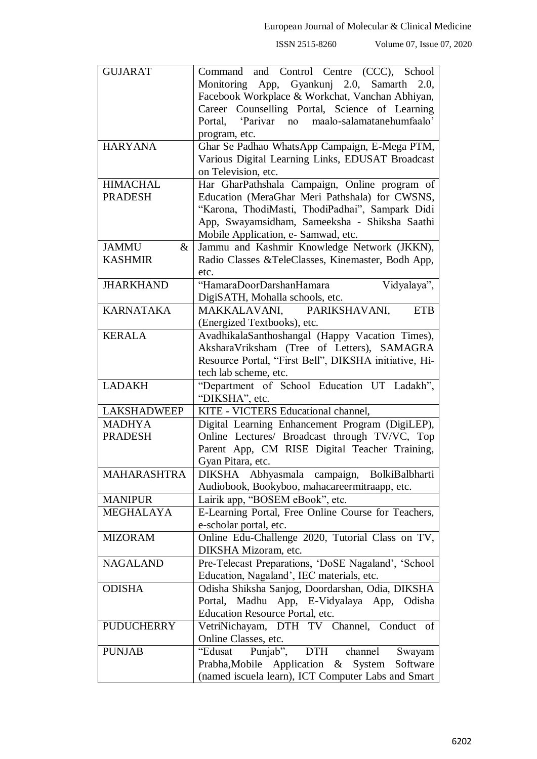ISSN 2515-8260 Volume 07, Issue 07, 2020

| <b>GUJARAT</b>     | Command and Control Centre (CCC), School                        |
|--------------------|-----------------------------------------------------------------|
|                    | Monitoring App, Gyankunj 2.0, Samarth 2.0,                      |
|                    | Facebook Workplace & Workchat, Vanchan Abhiyan,                 |
|                    | Career Counselling Portal, Science of Learning                  |
|                    | Portal, 'Parivar no maalo-salamatanehumfaalo'                   |
|                    | program, etc.                                                   |
| <b>HARYANA</b>     | Ghar Se Padhao WhatsApp Campaign, E-Mega PTM,                   |
|                    | Various Digital Learning Links, EDUSAT Broadcast                |
|                    | on Television, etc.                                             |
| <b>HIMACHAL</b>    | Har GharPathshala Campaign, Online program of                   |
| <b>PRADESH</b>     | Education (MeraGhar Meri Pathshala) for CWSNS,                  |
|                    | "Karona, ThodiMasti, ThodiPadhai", Sampark Didi                 |
|                    | App, Swayamsidham, Sameeksha - Shiksha Saathi                   |
|                    | Mobile Application, e- Samwad, etc.                             |
| <b>JAMMU</b><br>&  | Jammu and Kashmir Knowledge Network (JKKN),                     |
| <b>KASHMIR</b>     | Radio Classes &TeleClasses, Kinemaster, Bodh App,               |
|                    | etc.                                                            |
| <b>JHARKHAND</b>   | "HamaraDoorDarshanHamara<br>Vidyalaya",                         |
|                    | DigiSATH, Mohalla schools, etc.                                 |
| <b>KARNATAKA</b>   | <b>ETB</b><br>MAKKALAVANI, PARIKSHAVANI,                        |
|                    | (Energized Textbooks), etc.                                     |
| <b>KERALA</b>      | AvadhikalaSanthoshangal (Happy Vacation Times),                 |
|                    | AksharaVriksham (Tree of Letters), SAMAGRA                      |
|                    | Resource Portal, "First Bell", DIKSHA initiative, Hi-           |
|                    | tech lab scheme, etc.                                           |
| <b>LADAKH</b>      | "Department of School Education UT Ladakh",                     |
|                    | "DIKSHA", etc.                                                  |
| <b>LAKSHADWEEP</b> | KITE - VICTERS Educational channel,                             |
| <b>MADHYA</b>      | Digital Learning Enhancement Program (DigiLEP),                 |
| <b>PRADESH</b>     | Online Lectures/ Broadcast through TV/VC, Top                   |
|                    | Parent App, CM RISE Digital Teacher Training,                   |
| <b>MAHARASHTRA</b> | Gyan Pitara, etc.<br>DIKSHA Abhyasmala campaign, BolkiBalbharti |
|                    | Audiobook, Bookyboo, mahacareermitraapp, etc.                   |
| <b>MANIPUR</b>     | Lairik app, "BOSEM eBook", etc.                                 |
| MEGHALAYA          | E-Learning Portal, Free Online Course for Teachers,             |
|                    | e-scholar portal, etc.                                          |
| <b>MIZORAM</b>     | Online Edu-Challenge 2020, Tutorial Class on TV,                |
|                    | DIKSHA Mizoram, etc.                                            |
| <b>NAGALAND</b>    | Pre-Telecast Preparations, 'DoSE Nagaland', 'School             |
|                    | Education, Nagaland', IEC materials, etc.                       |
| <b>ODISHA</b>      | Odisha Shiksha Sanjog, Doordarshan, Odia, DIKSHA                |
|                    | Portal, Madhu App, E-Vidyalaya App, Odisha                      |
|                    | Education Resource Portal, etc.                                 |
| <b>PUDUCHERRY</b>  | VetriNichayam, DTH TV Channel, Conduct of                       |
|                    | Online Classes, etc.                                            |
| <b>PUNJAB</b>      | Punjab",<br><b>DTH</b><br>"Edusat<br>channel<br>Swayam          |
|                    | Prabha, Mobile Application &<br>System<br>Software              |
|                    | (named iscuela learn), ICT Computer Labs and Smart              |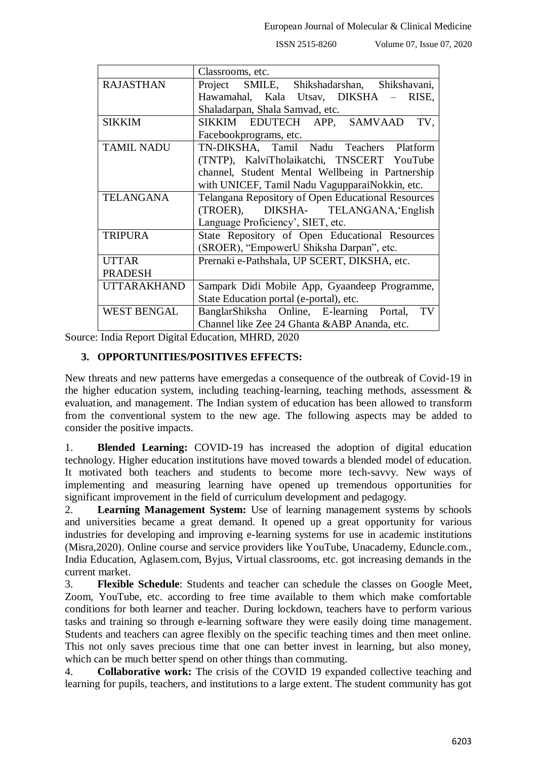ISSN 2515-8260 Volume 07, Issue 07, 2020

|                    | Classrooms, etc.                                   |
|--------------------|----------------------------------------------------|
| <b>RAJASTHAN</b>   | Project SMILE, Shikshadarshan, Shikshavani,        |
|                    | Hawamahal, Kala Utsav, DIKSHA - RISE,              |
|                    | Shaladarpan, Shala Samvad, etc.                    |
| <b>SIKKIM</b>      | SIKKIM EDUTECH APP, SAMVAAD<br>TV.                 |
|                    | Facebookprograms, etc.                             |
| <b>TAMIL NADU</b>  | TN-DIKSHA, Tamil Nadu Teachers Platform            |
|                    | (TNTP), KalviTholaikatchi, TNSCERT YouTube         |
|                    | channel, Student Mental Wellbeing in Partnership   |
|                    | with UNICEF, Tamil Nadu VagupparaiNokkin, etc.     |
| <b>TELANGANA</b>   | Telangana Repository of Open Educational Resources |
|                    | (TROER), DIKSHA- TELANGANA, English                |
|                    | Language Proficiency', SIET, etc.                  |
| <b>TRIPURA</b>     | State Repository of Open Educational Resources     |
|                    | (SROER), "EmpowerU Shiksha Darpan", etc.           |
| <b>UTTAR</b>       | Prernaki e-Pathshala, UP SCERT, DIKSHA, etc.       |
| <b>PRADESH</b>     |                                                    |
| <b>UTTARAKHAND</b> | Sampark Didi Mobile App, Gyaandeep Programme,      |
|                    | State Education portal (e-portal), etc.            |
| <b>WEST BENGAL</b> | BanglarShiksha Online, E-learning Portal,<br>TV    |
|                    | Channel like Zee 24 Ghanta & ABP Ananda, etc.      |

Source: India Report Digital Education, MHRD, 2020

# **3. OPPORTUNITIES/POSITIVES EFFECTS:**

New threats and new patterns have emergedas a consequence of the outbreak of Covid-19 in the higher education system, including teaching-learning, teaching methods, assessment & evaluation, and management. The Indian system of education has been allowed to transform from the conventional system to the new age. The following aspects may be added to consider the positive impacts.

1. **Blended Learning:** COVID-19 has increased the adoption of digital education technology. Higher education institutions have moved towards a blended model of education. It motivated both teachers and students to become more tech-savvy. New ways of implementing and measuring learning have opened up tremendous opportunities for significant improvement in the field of curriculum development and pedagogy.

2. **Learning Management System:** Use of learning management systems by schools and universities became a great demand. It opened up a great opportunity for various industries for developing and improving e-learning systems for use in academic institutions (Misra,2020). Online course and service providers like YouTube, Unacademy, Eduncle.com., India Education, Aglasem.com, Byjus, Virtual classrooms, etc. got increasing demands in the current market.

3. **Flexible Schedule**: Students and teacher can schedule the classes on Google Meet, Zoom, YouTube, etc. according to free time available to them which make comfortable conditions for both learner and teacher. During lockdown, teachers have to perform various tasks and training so through e-learning software they were easily doing time management. Students and teachers can agree flexibly on the specific teaching times and then meet online. This not only saves precious time that one can better invest in learning, but also money, which can be much better spend on other things than commuting.

4. **Collaborative work:** The crisis of the COVID 19 expanded collective teaching and learning for pupils, teachers, and institutions to a large extent. The student community has got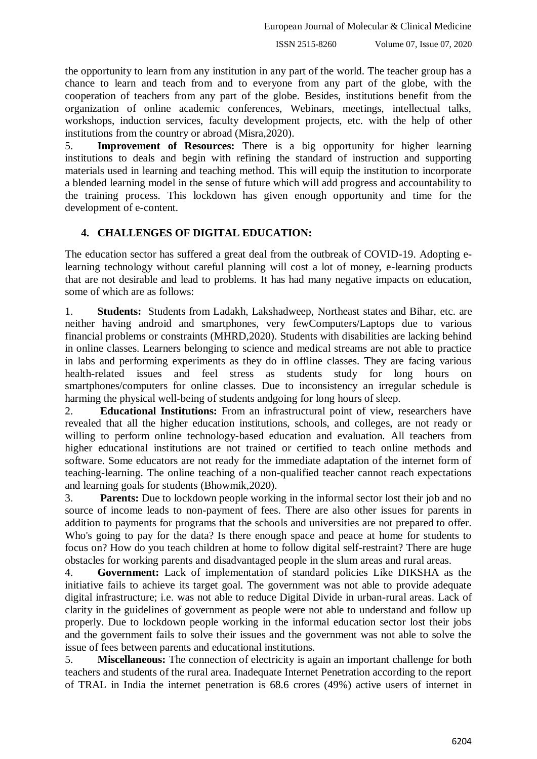European Journal of Molecular & Clinical Medicine

the opportunity to learn from any institution in any part of the world. The teacher group has a chance to learn and teach from and to everyone from any part of the globe, with the cooperation of teachers from any part of the globe. Besides, institutions benefit from the organization of online academic conferences, Webinars, meetings, intellectual talks, workshops, induction services, faculty development projects, etc. with the help of other institutions from the country or abroad (Misra,2020).

5. **Improvement of Resources:** There is a big opportunity for higher learning institutions to deals and begin with refining the standard of instruction and supporting materials used in learning and teaching method. This will equip the institution to incorporate a blended learning model in the sense of future which will add progress and accountability to the training process. This lockdown has given enough opportunity and time for the development of e-content.

## **4. CHALLENGES OF DIGITAL EDUCATION:**

The education sector has suffered a great deal from the outbreak of COVID-19. Adopting elearning technology without careful planning will cost a lot of money, e-learning products that are not desirable and lead to problems. It has had many negative impacts on education, some of which are as follows:

1. **Students:** Students from Ladakh, Lakshadweep, Northeast states and Bihar, etc. are neither having android and smartphones, very fewComputers/Laptops due to various financial problems or constraints (MHRD,2020). Students with disabilities are lacking behind in online classes. Learners belonging to science and medical streams are not able to practice in labs and performing experiments as they do in offline classes. They are facing various health-related issues and feel stress as students study for long hours on smartphones/computers for online classes. Due to inconsistency an irregular schedule is harming the physical well-being of students andgoing for long hours of sleep.

2. **Educational Institutions:** From an infrastructural point of view, researchers have revealed that all the higher education institutions, schools, and colleges, are not ready or willing to perform online technology-based education and evaluation. All teachers from higher educational institutions are not trained or certified to teach online methods and software. Some educators are not ready for the immediate adaptation of the internet form of teaching-learning. The online teaching of a non-qualified teacher cannot reach expectations and learning goals for students (Bhowmik,2020).

3. **Parents:** Due to lockdown people working in the informal sector lost their job and no source of income leads to non-payment of fees. There are also other issues for parents in addition to payments for programs that the schools and universities are not prepared to offer. Who's going to pay for the data? Is there enough space and peace at home for students to focus on? How do you teach children at home to follow digital self-restraint? There are huge obstacles for working parents and disadvantaged people in the slum areas and rural areas.

4. **Government:** Lack of implementation of standard policies Like DIKSHA as the initiative fails to achieve its target goal. The government was not able to provide adequate digital infrastructure; i.e. was not able to reduce Digital Divide in urban-rural areas. Lack of clarity in the guidelines of government as people were not able to understand and follow up properly. Due to lockdown people working in the informal education sector lost their jobs and the government fails to solve their issues and the government was not able to solve the issue of fees between parents and educational institutions.

5. **Miscellaneous:** The connection of electricity is again an important challenge for both teachers and students of the rural area. Inadequate Internet Penetration according to the report of TRAL in India the internet penetration is 68.6 crores (49%) active users of internet in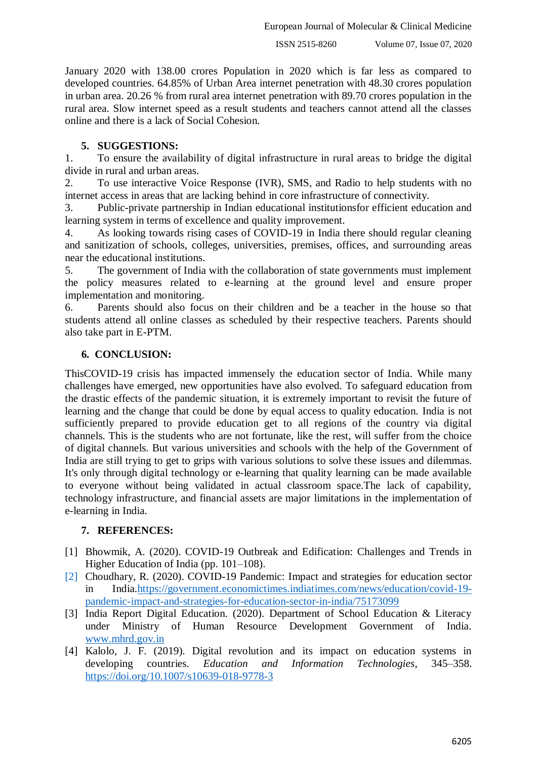January 2020 with 138.00 crores Population in 2020 which is far less as compared to developed countries. 64.85% of Urban Area internet penetration with 48.30 crores population in urban area. 20.26 % from rural area internet penetration with 89.70 crores population in the rural area. Slow internet speed as a result students and teachers cannot attend all the classes online and there is a lack of Social Cohesion.

## **5. SUGGESTIONS:**

1. To ensure the availability of digital infrastructure in rural areas to bridge the digital divide in rural and urban areas.

2. To use interactive Voice Response (IVR), SMS, and Radio to help students with no internet access in areas that are lacking behind in core infrastructure of connectivity.

3. Public-private partnership in Indian educational institutionsfor efficient education and learning system in terms of excellence and quality improvement.

4. As looking towards rising cases of COVID-19 in India there should regular cleaning and sanitization of schools, colleges, universities, premises, offices, and surrounding areas near the educational institutions.

5. The government of India with the collaboration of state governments must implement the policy measures related to e-learning at the ground level and ensure proper implementation and monitoring.

6. Parents should also focus on their children and be a teacher in the house so that students attend all online classes as scheduled by their respective teachers. Parents should also take part in E-PTM.

## **6. CONCLUSION:**

ThisCOVID-19 crisis has impacted immensely the education sector of India. While many challenges have emerged, new opportunities have also evolved. To safeguard education from the drastic effects of the pandemic situation, it is extremely important to revisit the future of learning and the change that could be done by equal access to quality education. India is not sufficiently prepared to provide education get to all regions of the country via digital channels. This is the students who are not fortunate, like the rest, will suffer from the choice of digital channels. But various universities and schools with the help of the Government of India are still trying to get to grips with various solutions to solve these issues and dilemmas. It's only through digital technology or e-learning that quality learning can be made available to everyone without being validated in actual classroom space.The lack of capability, technology infrastructure, and financial assets are major limitations in the implementation of e-learning in India.

## **7. REFERENCES:**

- [1] Bhowmik, A. (2020). COVID-19 Outbreak and Edification: Challenges and Trends in Higher Education of India (pp. 101–108).
- [2] Choudhary, R. (2020). COVID-19 Pandemic: Impact and strategies for education sector in India[.https://government.economictimes.indiatimes.com/news/education/covid-19](https://government.economictimes.indiatimes.com/news/education/covid-19-pandemic-impact-and-strategies-for-education-sector-in-india/75173099) [pandemic-impact-and-strategies-for-education-sector-in-india/75173099](https://government.economictimes.indiatimes.com/news/education/covid-19-pandemic-impact-and-strategies-for-education-sector-in-india/75173099)
- [3] India Report Digital Education. (2020). Department of School Education & Literacy under Ministry of Human Resource Development Government of India. [www.mhrd.gov.in](http://www.mhrd.gov.in/)
- [4] Kalolo, J. F. (2019). Digital revolution and its impact on education systems in developing countries. *Education and Information Technologies*, 345–358. <https://doi.org/10.1007/s10639-018-9778-3>